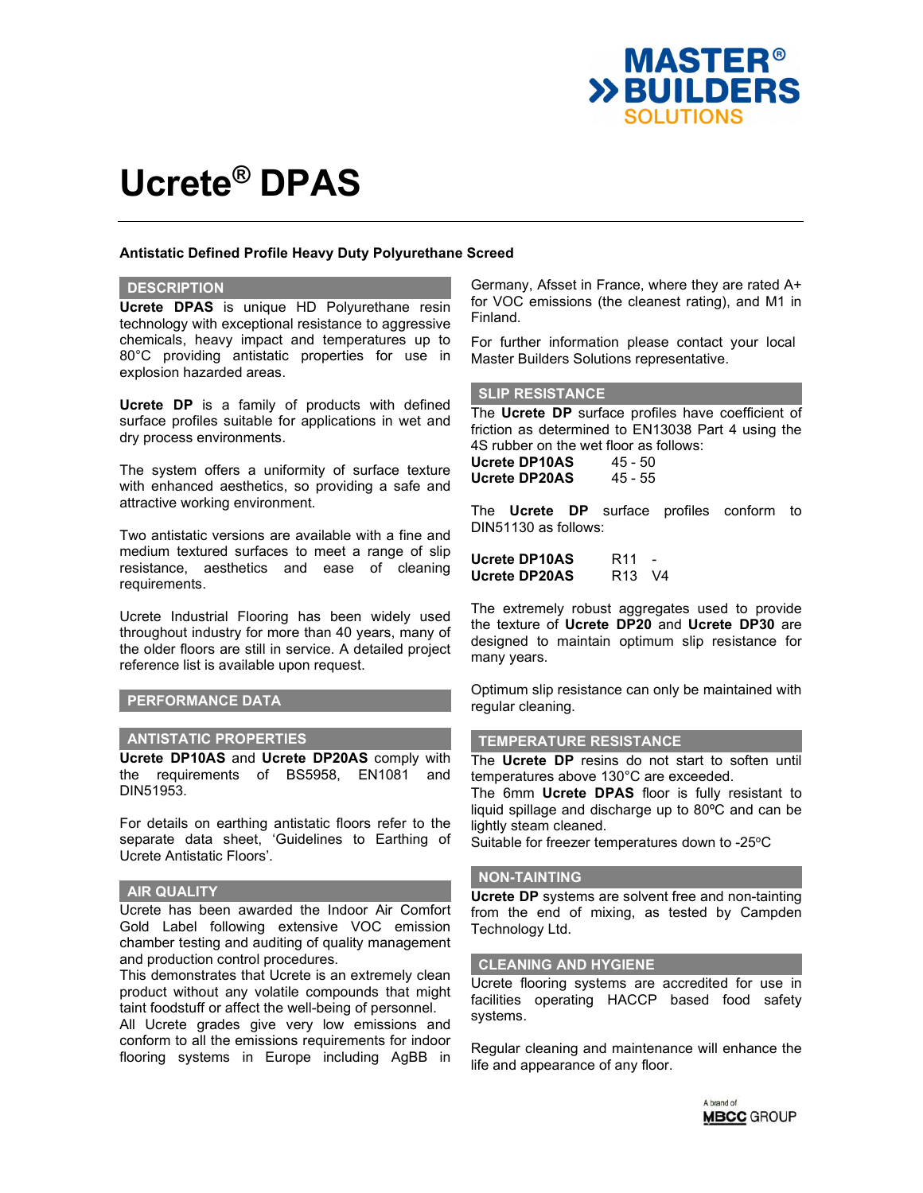

## **Antistatic Defined Profile Heavy Duty Polyurethane Screed**

#### **DESCRIPTION**

**Ucrete DPAS** is unique HD Polyurethane resin technology with exceptional resistance to aggressive chemicals, heavy impact and temperatures up to 80°C providing antistatic properties for use in explosion hazarded areas.

**Ucrete DP** is a family of products with defined surface profiles suitable for applications in wet and dry process environments.

The system offers a uniformity of surface texture with enhanced aesthetics, so providing a safe and attractive working environment.

Two antistatic versions are available with a fine and medium textured surfaces to meet a range of slip resistance, aesthetics and ease of cleaning requirements.

Ucrete Industrial Flooring has been widely used throughout industry for more than 40 years, many of the older floors are still in service. A detailed project reference list is available upon request.

## **PERFORMANCE DATA**

### **ANTISTATIC PROPERTIES**

**Ucrete DP10AS** and **Ucrete DP20AS** comply with the requirements of BS5958, EN1081 and DIN51953.

For details on earthing antistatic floors refer to the separate data sheet, 'Guidelines to Earthing of Ucrete Antistatic Floors'.

#### **AIR QUALITY**

Ucrete has been awarded the Indoor Air Comfort Gold Label following extensive VOC emission chamber testing and auditing of quality management and production control procedures.

This demonstrates that Ucrete is an extremely clean product without any volatile compounds that might taint foodstuff or affect the well-being of personnel.

All Ucrete grades give very low emissions and conform to all the emissions requirements for indoor flooring systems in Europe including AgBB in Germany, Afsset in France, where they are rated A+ for VOC emissions (the cleanest rating), and M1 in Finland.

For further information please contact your local Master Builders Solutions representative.

#### **SLIP RESISTANCE**

The **Ucrete DP** surface profiles have coefficient of friction as determined to EN13038 Part 4 using the 4S rubber on the wet floor as follows: **Ucrete DP10AS** 45 - 50 **Ucrete DP20AS** 45 - 55

The **Ucrete DP** surface profiles conform to DIN51130 as follows:

| <b>Ucrete DP10AS</b> | R <sub>11</sub>                | $\sim$ |
|----------------------|--------------------------------|--------|
| <b>Ucrete DP20AS</b> | R <sub>13</sub> V <sub>4</sub> |        |

The extremely robust aggregates used to provide the texture of **Ucrete DP20** and **Ucrete DP30** are designed to maintain optimum slip resistance for many years.

Optimum slip resistance can only be maintained with regular cleaning.

#### **TEMPERATURE RESISTANCE**

The **Ucrete DP** resins do not start to soften until temperatures above 130°C are exceeded.

The 6mm **Ucrete DPAS** floor is fully resistant to liquid spillage and discharge up to 80ºC and can be lightly steam cleaned.

Suitable for freezer temperatures down to -25°C

#### **NON-TAINTING**

**Ucrete DP** systems are solvent free and non-tainting from the end of mixing, as tested by Campden Technology Ltd.

#### **CLEANING AND HYGIENE**

Ucrete flooring systems are accredited for use in facilities operating HACCP based food safety systems.

Regular cleaning and maintenance will enhance the life and appearance of any floor.

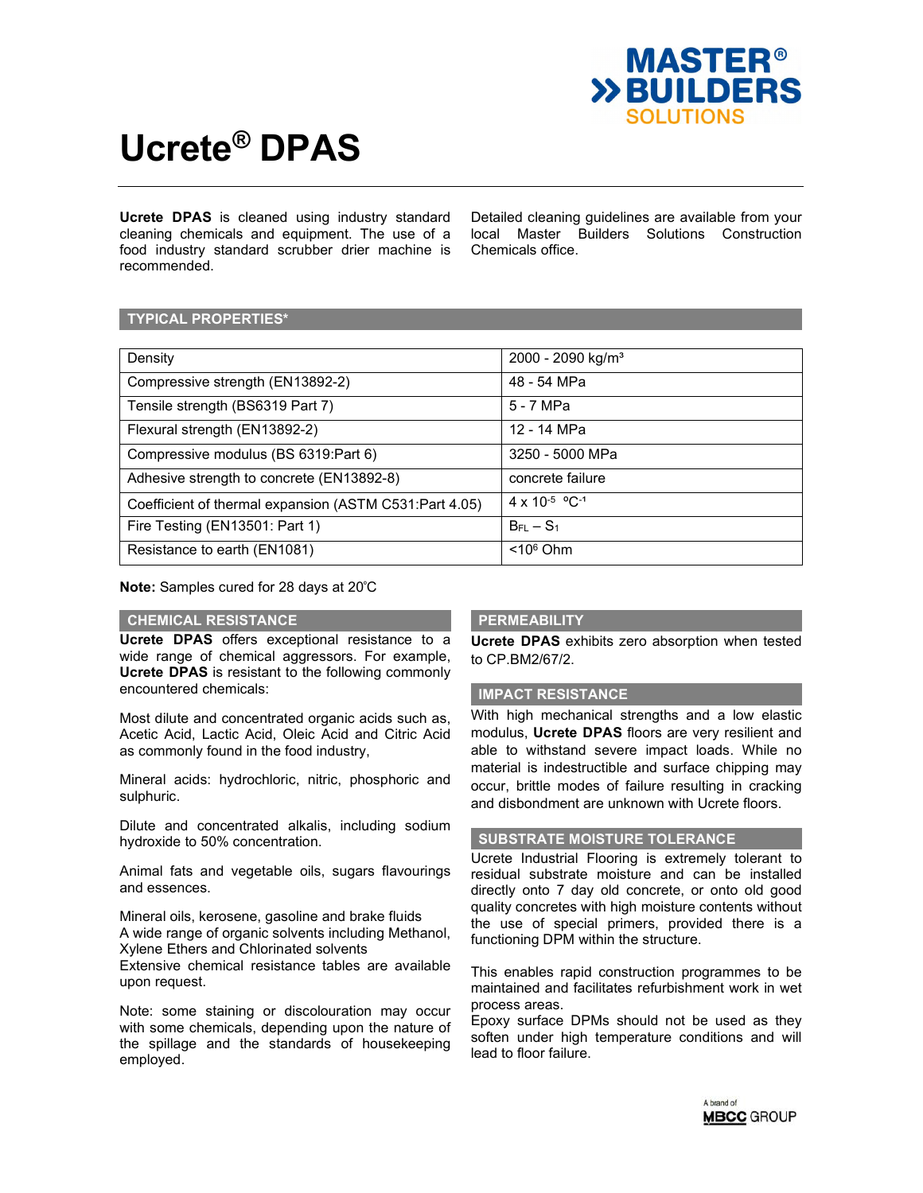

**Ucrete DPAS** is cleaned using industry standard cleaning chemicals and equipment. The use of a food industry standard scrubber drier machine is recommended.

Detailed cleaning guidelines are available from your local Master Builders Solutions Construction Chemicals office.

## **TYPICAL PROPERTIES\***

| Density                                                | $2000 - 2090$ kg/m <sup>3</sup> |
|--------------------------------------------------------|---------------------------------|
| Compressive strength (EN13892-2)                       | 48 - 54 MPa                     |
| Tensile strength (BS6319 Part 7)                       | 5 - 7 MPa                       |
| Flexural strength (EN13892-2)                          | 12 - 14 MPa                     |
| Compressive modulus (BS 6319:Part 6)                   | 3250 - 5000 MPa                 |
| Adhesive strength to concrete (EN13892-8)              | concrete failure                |
| Coefficient of thermal expansion (ASTM C531:Part 4.05) | $4 \times 10^{-5}$ °C-1         |
| Fire Testing (EN13501: Part 1)                         | $BFL - S1$                      |
| Resistance to earth (EN1081)                           | $< 106$ Ohm                     |

**Note:** Samples cured for 28 days at 20°C

## **CHEMICAL RESISTANCE**

**Ucrete DPAS** offers exceptional resistance to a wide range of chemical aggressors. For example, **Ucrete DPAS** is resistant to the following commonly encountered chemicals:

Most dilute and concentrated organic acids such as, Acetic Acid, Lactic Acid, Oleic Acid and Citric Acid as commonly found in the food industry,

Mineral acids: hydrochloric, nitric, phosphoric and sulphuric.

Dilute and concentrated alkalis, including sodium hydroxide to 50% concentration.

Animal fats and vegetable oils, sugars flavourings and essences.

Mineral oils, kerosene, gasoline and brake fluids A wide range of organic solvents including Methanol, Xylene Ethers and Chlorinated solvents

Extensive chemical resistance tables are available upon request.

Note: some staining or discolouration may occur with some chemicals, depending upon the nature of the spillage and the standards of housekeeping employed.

## **PERMEABILITY**

**Ucrete DPAS** exhibits zero absorption when tested to CP.BM2/67/2.

#### **IMPACT RESISTANCE**

With high mechanical strengths and a low elastic modulus, **Ucrete DPAS** floors are very resilient and able to withstand severe impact loads. While no material is indestructible and surface chipping may occur, brittle modes of failure resulting in cracking and disbondment are unknown with Ucrete floors.

## **SUBSTRATE MOISTURE TOLERANCE**

Ucrete Industrial Flooring is extremely tolerant to residual substrate moisture and can be installed directly onto 7 day old concrete, or onto old good quality concretes with high moisture contents without the use of special primers, provided there is a functioning DPM within the structure.

This enables rapid construction programmes to be maintained and facilitates refurbishment work in wet process areas.

Epoxy surface DPMs should not be used as they soften under high temperature conditions and will lead to floor failure.

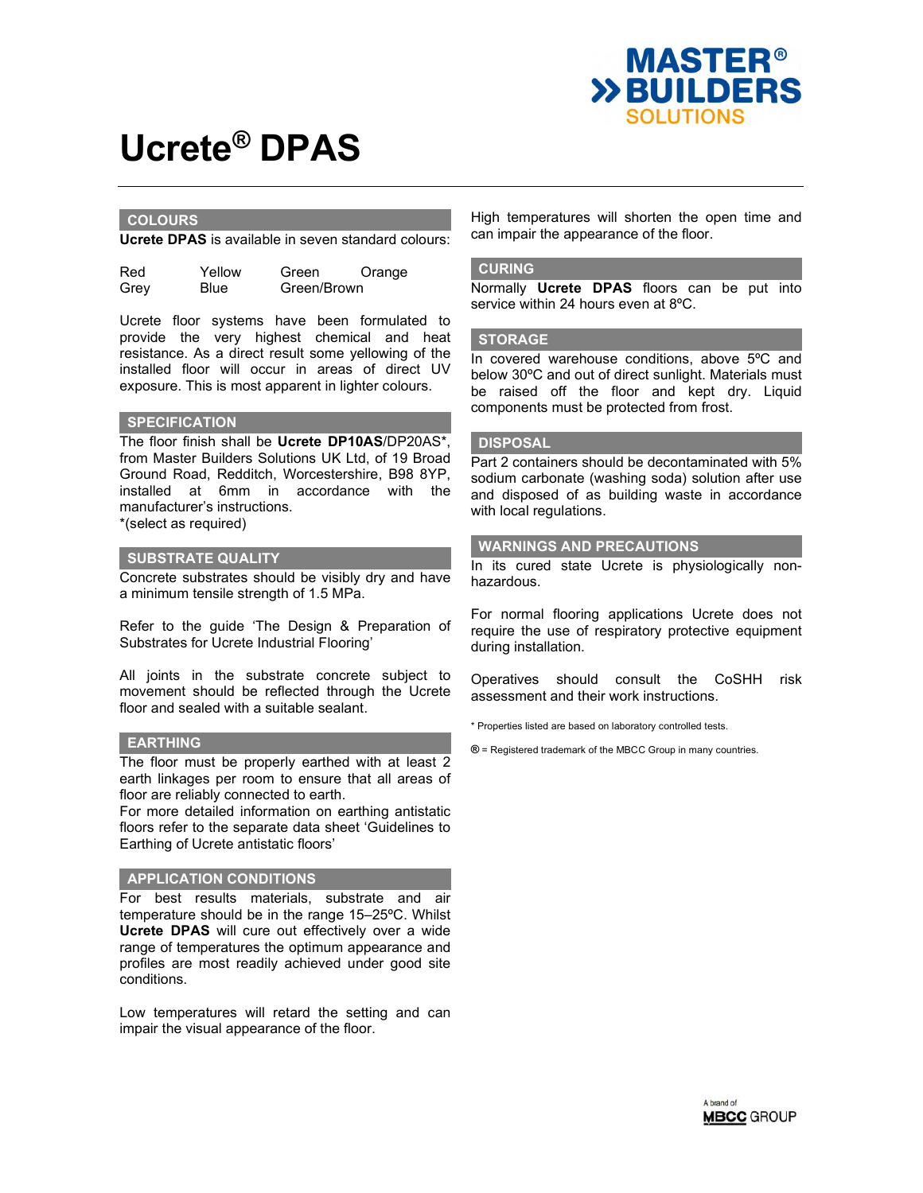

## **COLOURS**

**Ucrete DPAS** is available in seven standard colours:

| Red  | Yellow      | Green       | Orange |
|------|-------------|-------------|--------|
| Grey | <b>Blue</b> | Green/Brown |        |

Ucrete floor systems have been formulated to provide the very highest chemical and heat resistance. As a direct result some yellowing of the installed floor will occur in areas of direct UV exposure. This is most apparent in lighter colours.

## **SPECIFICATION**

The floor finish shall be **Ucrete DP10AS**/DP20AS\*, from Master Builders Solutions UK Ltd, of 19 Broad Ground Road, Redditch, Worcestershire, B98 8YP, installed at 6mm in accordance with the manufacturer's instructions. \*(select as required)

#### **SUBSTRATE QUALITY**

Concrete substrates should be visibly dry and have a minimum tensile strength of 1.5 MPa.

Refer to the guide 'The Design & Preparation of Substrates for Ucrete Industrial Flooring'

All joints in the substrate concrete subject to movement should be reflected through the Ucrete floor and sealed with a suitable sealant.

#### **EARTHING**

The floor must be properly earthed with at least 2 earth linkages per room to ensure that all areas of floor are reliably connected to earth.

For more detailed information on earthing antistatic floors refer to the separate data sheet 'Guidelines to Earthing of Ucrete antistatic floors'

## **APPLICATION CONDITIONS**

For best results materials, substrate and air temperature should be in the range 15–25ºC. Whilst **Ucrete DPAS** will cure out effectively over a wide range of temperatures the optimum appearance and profiles are most readily achieved under good site conditions.

Low temperatures will retard the setting and can impair the visual appearance of the floor.

High temperatures will shorten the open time and can impair the appearance of the floor.

#### **CURING**

Normally **Ucrete DPAS** floors can be put into service within 24 hours even at 8ºC.

### **STORAGE**

In covered warehouse conditions, above 5ºC and below 30ºC and out of direct sunlight. Materials must be raised off the floor and kept dry. Liquid components must be protected from frost.

#### **DISPOSAL**

Part 2 containers should be decontaminated with 5% sodium carbonate (washing soda) solution after use and disposed of as building waste in accordance with local regulations.

### **WARNINGS AND PRECAUTIONS**

In its cured state Ucrete is physiologically nonhazardous.

For normal flooring applications Ucrete does not require the use of respiratory protective equipment during installation.

Operatives should consult the CoSHH risk assessment and their work instructions.

\* Properties listed are based on laboratory controlled tests.

**®** = Registered trademark of the MBCC Group in many countries.